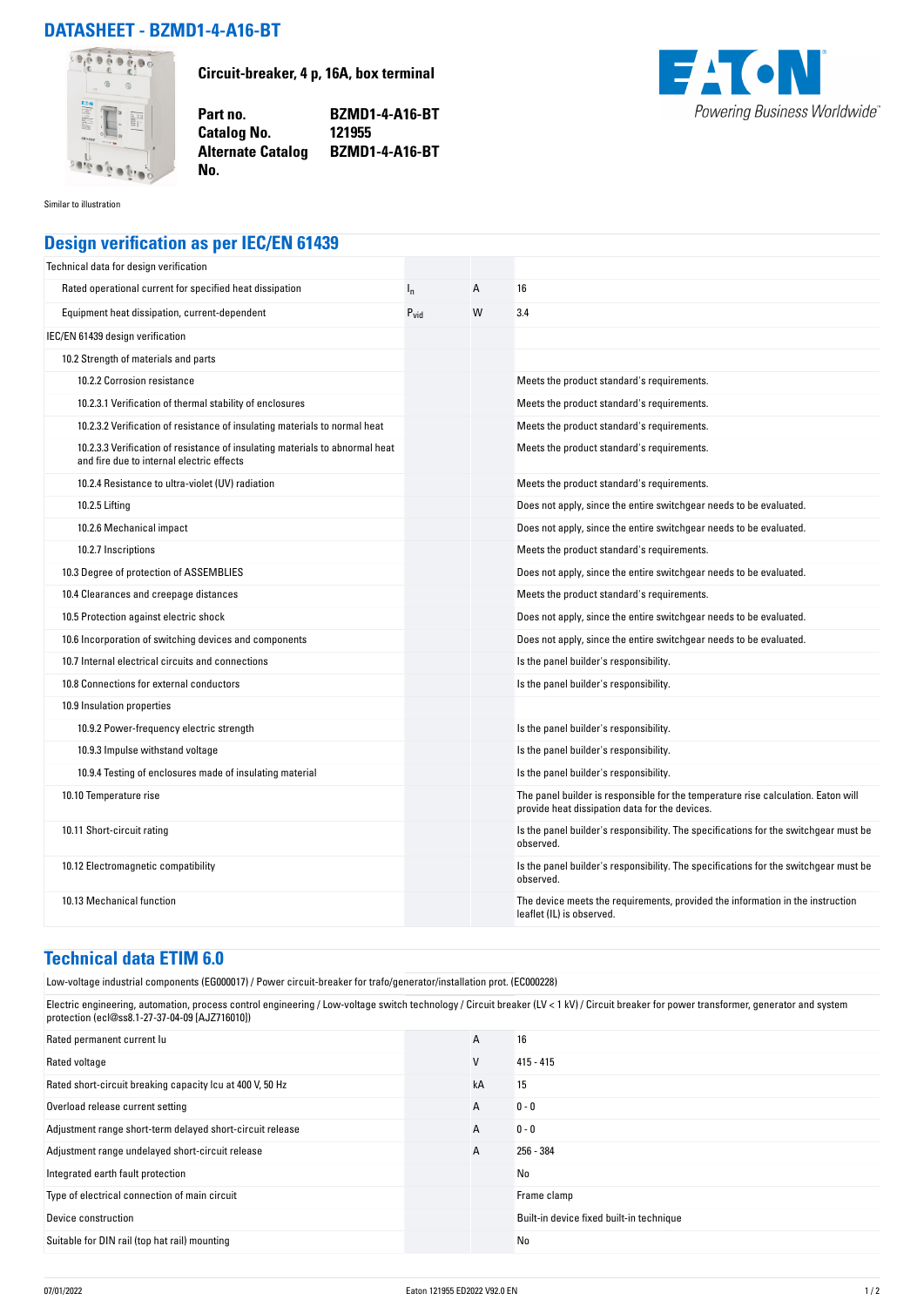## **DATASHEET - BZMD1-4-A16-BT**



**Circuit-breaker, 4 p, 16A, box terminal**

**Part no. BZMD1-4-A16-BT Alternate Catalog BZMD1-4-A16-BT**



Similar to illustration

## **Design verification as per IEC/EN 61439**

**No.** 

**Catalog No.** 

| Technical data for design verification                                                                                    |                  |   |                                                                                                                                     |
|---------------------------------------------------------------------------------------------------------------------------|------------------|---|-------------------------------------------------------------------------------------------------------------------------------------|
| Rated operational current for specified heat dissipation                                                                  | $I_{n}$          | Α | 16                                                                                                                                  |
| Equipment heat dissipation, current-dependent                                                                             | $P_{\text{vid}}$ | W | 3.4                                                                                                                                 |
| IEC/EN 61439 design verification                                                                                          |                  |   |                                                                                                                                     |
| 10.2 Strength of materials and parts                                                                                      |                  |   |                                                                                                                                     |
| 10.2.2 Corrosion resistance                                                                                               |                  |   | Meets the product standard's requirements.                                                                                          |
| 10.2.3.1 Verification of thermal stability of enclosures                                                                  |                  |   | Meets the product standard's requirements.                                                                                          |
| 10.2.3.2 Verification of resistance of insulating materials to normal heat                                                |                  |   | Meets the product standard's requirements.                                                                                          |
| 10.2.3.3 Verification of resistance of insulating materials to abnormal heat<br>and fire due to internal electric effects |                  |   | Meets the product standard's requirements.                                                                                          |
| 10.2.4 Resistance to ultra-violet (UV) radiation                                                                          |                  |   | Meets the product standard's requirements.                                                                                          |
| 10.2.5 Lifting                                                                                                            |                  |   | Does not apply, since the entire switchgear needs to be evaluated.                                                                  |
| 10.2.6 Mechanical impact                                                                                                  |                  |   | Does not apply, since the entire switchgear needs to be evaluated.                                                                  |
| 10.2.7 Inscriptions                                                                                                       |                  |   | Meets the product standard's requirements.                                                                                          |
| 10.3 Degree of protection of ASSEMBLIES                                                                                   |                  |   | Does not apply, since the entire switchgear needs to be evaluated.                                                                  |
| 10.4 Clearances and creepage distances                                                                                    |                  |   | Meets the product standard's requirements.                                                                                          |
| 10.5 Protection against electric shock                                                                                    |                  |   | Does not apply, since the entire switchgear needs to be evaluated.                                                                  |
| 10.6 Incorporation of switching devices and components                                                                    |                  |   | Does not apply, since the entire switchgear needs to be evaluated.                                                                  |
| 10.7 Internal electrical circuits and connections                                                                         |                  |   | Is the panel builder's responsibility.                                                                                              |
| 10.8 Connections for external conductors                                                                                  |                  |   | Is the panel builder's responsibility.                                                                                              |
| 10.9 Insulation properties                                                                                                |                  |   |                                                                                                                                     |
| 10.9.2 Power-frequency electric strength                                                                                  |                  |   | Is the panel builder's responsibility.                                                                                              |
| 10.9.3 Impulse withstand voltage                                                                                          |                  |   | Is the panel builder's responsibility.                                                                                              |
| 10.9.4 Testing of enclosures made of insulating material                                                                  |                  |   | Is the panel builder's responsibility.                                                                                              |
| 10.10 Temperature rise                                                                                                    |                  |   | The panel builder is responsible for the temperature rise calculation. Eaton will<br>provide heat dissipation data for the devices. |
| 10.11 Short-circuit rating                                                                                                |                  |   | Is the panel builder's responsibility. The specifications for the switchgear must be<br>observed.                                   |
| 10.12 Electromagnetic compatibility                                                                                       |                  |   | Is the panel builder's responsibility. The specifications for the switchgear must be<br>observed.                                   |
| 10.13 Mechanical function                                                                                                 |                  |   | The device meets the requirements, provided the information in the instruction<br>leaflet (IL) is observed.                         |

## **Technical data ETIM 6.0**

Low-voltage industrial components (EG000017) / Power circuit-breaker for trafo/generator/installation prot. (EC000228)

Electric engineering, automation, process control engineering / Low-voltage switch technology / Circuit breaker (LV < 1 kV) / Circuit breaker for power transformer, generator and system protection (ecl@ss8.1-27-37-04-09 [AJZ716010])

| Rated permanent current lu                                | A  | 16                                       |
|-----------------------------------------------------------|----|------------------------------------------|
| Rated voltage                                             | V  | $415 - 415$                              |
| Rated short-circuit breaking capacity Icu at 400 V, 50 Hz | kA | 15                                       |
| Overload release current setting                          | A  | $0 - 0$                                  |
| Adjustment range short-term delayed short-circuit release | A  | $0 - 0$                                  |
| Adjustment range undelayed short-circuit release          | A  | 256 - 384                                |
| Integrated earth fault protection                         |    | No                                       |
| Type of electrical connection of main circuit             |    | Frame clamp                              |
| Device construction                                       |    | Built-in device fixed built-in technique |
| Suitable for DIN rail (top hat rail) mounting             |    | No                                       |